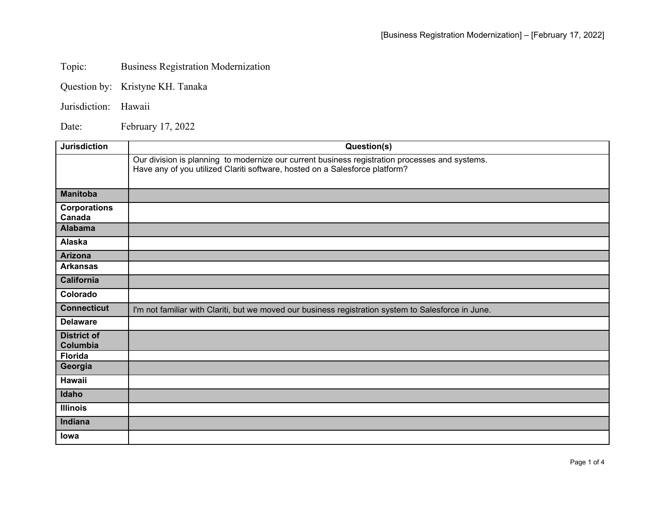## Topic: Business Registration Modernization

- Question by: Kristyne KH. Tanaka
- Jurisdiction: Hawaii

Date: February 17, 2022

| <b>Jurisdiction</b> | Question(s)                                                                                                                                                                   |
|---------------------|-------------------------------------------------------------------------------------------------------------------------------------------------------------------------------|
|                     | Our division is planning to modernize our current business registration processes and systems.<br>Have any of you utilized Clariti software, hosted on a Salesforce platform? |
|                     |                                                                                                                                                                               |
| <b>Manitoba</b>     |                                                                                                                                                                               |
| <b>Corporations</b> |                                                                                                                                                                               |
| Canada              |                                                                                                                                                                               |
| <b>Alabama</b>      |                                                                                                                                                                               |
| Alaska              |                                                                                                                                                                               |
| <b>Arizona</b>      |                                                                                                                                                                               |
| <b>Arkansas</b>     |                                                                                                                                                                               |
| California          |                                                                                                                                                                               |
| Colorado            |                                                                                                                                                                               |
| <b>Connecticut</b>  | I'm not familiar with Clariti, but we moved our business registration system to Salesforce in June.                                                                           |
| <b>Delaware</b>     |                                                                                                                                                                               |
| <b>District of</b>  |                                                                                                                                                                               |
| Columbia            |                                                                                                                                                                               |
| <b>Florida</b>      |                                                                                                                                                                               |
| Georgia             |                                                                                                                                                                               |
| Hawaii              |                                                                                                                                                                               |
| Idaho               |                                                                                                                                                                               |
| <b>Illinois</b>     |                                                                                                                                                                               |
| Indiana             |                                                                                                                                                                               |
| lowa                |                                                                                                                                                                               |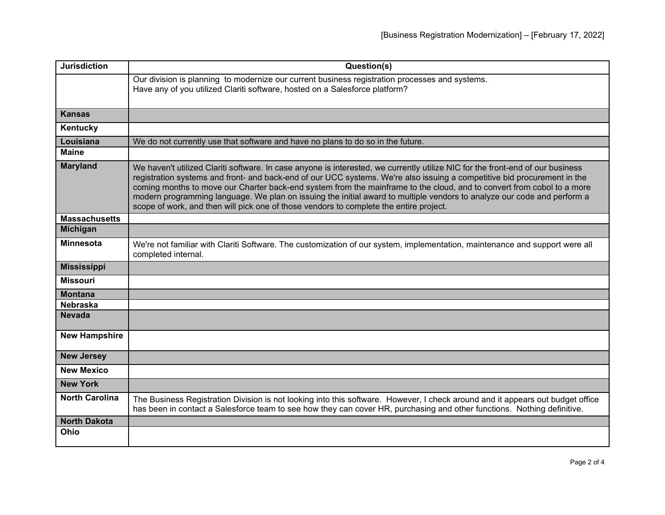| <b>Jurisdiction</b>   | Question(s)                                                                                                                                                                                                                                                                                                                                                                                                                                                                                                                                                                                               |
|-----------------------|-----------------------------------------------------------------------------------------------------------------------------------------------------------------------------------------------------------------------------------------------------------------------------------------------------------------------------------------------------------------------------------------------------------------------------------------------------------------------------------------------------------------------------------------------------------------------------------------------------------|
|                       | Our division is planning to modernize our current business registration processes and systems.<br>Have any of you utilized Clariti software, hosted on a Salesforce platform?                                                                                                                                                                                                                                                                                                                                                                                                                             |
| <b>Kansas</b>         |                                                                                                                                                                                                                                                                                                                                                                                                                                                                                                                                                                                                           |
| Kentucky              |                                                                                                                                                                                                                                                                                                                                                                                                                                                                                                                                                                                                           |
| Louisiana             | We do not currently use that software and have no plans to do so in the future.                                                                                                                                                                                                                                                                                                                                                                                                                                                                                                                           |
| <b>Maine</b>          |                                                                                                                                                                                                                                                                                                                                                                                                                                                                                                                                                                                                           |
| <b>Maryland</b>       | We haven't utilized Clariti software. In case anyone is interested, we currently utilize NIC for the front-end of our business<br>registration systems and front- and back-end of our UCC systems. We're also issuing a competitive bid procurement in the<br>coming months to move our Charter back-end system from the mainframe to the cloud, and to convert from cobol to a more<br>modern programming language. We plan on issuing the initial award to multiple vendors to analyze our code and perform a<br>scope of work, and then will pick one of those vendors to complete the entire project. |
| <b>Massachusetts</b>  |                                                                                                                                                                                                                                                                                                                                                                                                                                                                                                                                                                                                           |
| <b>Michigan</b>       |                                                                                                                                                                                                                                                                                                                                                                                                                                                                                                                                                                                                           |
| <b>Minnesota</b>      | We're not familiar with Clariti Software. The customization of our system, implementation, maintenance and support were all<br>completed internal.                                                                                                                                                                                                                                                                                                                                                                                                                                                        |
| <b>Mississippi</b>    |                                                                                                                                                                                                                                                                                                                                                                                                                                                                                                                                                                                                           |
| <b>Missouri</b>       |                                                                                                                                                                                                                                                                                                                                                                                                                                                                                                                                                                                                           |
| <b>Montana</b>        |                                                                                                                                                                                                                                                                                                                                                                                                                                                                                                                                                                                                           |
| <b>Nebraska</b>       |                                                                                                                                                                                                                                                                                                                                                                                                                                                                                                                                                                                                           |
| <b>Nevada</b>         |                                                                                                                                                                                                                                                                                                                                                                                                                                                                                                                                                                                                           |
| <b>New Hampshire</b>  |                                                                                                                                                                                                                                                                                                                                                                                                                                                                                                                                                                                                           |
| <b>New Jersey</b>     |                                                                                                                                                                                                                                                                                                                                                                                                                                                                                                                                                                                                           |
| <b>New Mexico</b>     |                                                                                                                                                                                                                                                                                                                                                                                                                                                                                                                                                                                                           |
| <b>New York</b>       |                                                                                                                                                                                                                                                                                                                                                                                                                                                                                                                                                                                                           |
| <b>North Carolina</b> | The Business Registration Division is not looking into this software. However, I check around and it appears out budget office<br>has been in contact a Salesforce team to see how they can cover HR, purchasing and other functions. Nothing definitive.                                                                                                                                                                                                                                                                                                                                                 |
| <b>North Dakota</b>   |                                                                                                                                                                                                                                                                                                                                                                                                                                                                                                                                                                                                           |
| Ohio                  |                                                                                                                                                                                                                                                                                                                                                                                                                                                                                                                                                                                                           |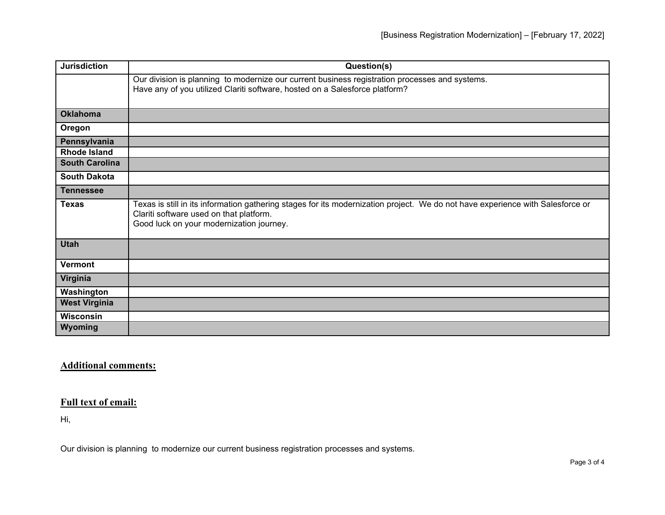| <b>Jurisdiction</b>   | Question(s)                                                                                                                                                                                                           |
|-----------------------|-----------------------------------------------------------------------------------------------------------------------------------------------------------------------------------------------------------------------|
|                       | Our division is planning to modernize our current business registration processes and systems.<br>Have any of you utilized Clariti software, hosted on a Salesforce platform?                                         |
| <b>Oklahoma</b>       |                                                                                                                                                                                                                       |
| Oregon                |                                                                                                                                                                                                                       |
| Pennsylvania          |                                                                                                                                                                                                                       |
| <b>Rhode Island</b>   |                                                                                                                                                                                                                       |
| <b>South Carolina</b> |                                                                                                                                                                                                                       |
| <b>South Dakota</b>   |                                                                                                                                                                                                                       |
| <b>Tennessee</b>      |                                                                                                                                                                                                                       |
| <b>Texas</b>          | Texas is still in its information gathering stages for its modernization project. We do not have experience with Salesforce or<br>Clariti software used on that platform.<br>Good luck on your modernization journey. |
| <b>Utah</b>           |                                                                                                                                                                                                                       |
| <b>Vermont</b>        |                                                                                                                                                                                                                       |
| Virginia              |                                                                                                                                                                                                                       |
| Washington            |                                                                                                                                                                                                                       |
| <b>West Virginia</b>  |                                                                                                                                                                                                                       |
| <b>Wisconsin</b>      |                                                                                                                                                                                                                       |
| Wyoming               |                                                                                                                                                                                                                       |

## **Additional comments:**

## **Full text of email:**

Hi,

Our division is planning to modernize our current business registration processes and systems.